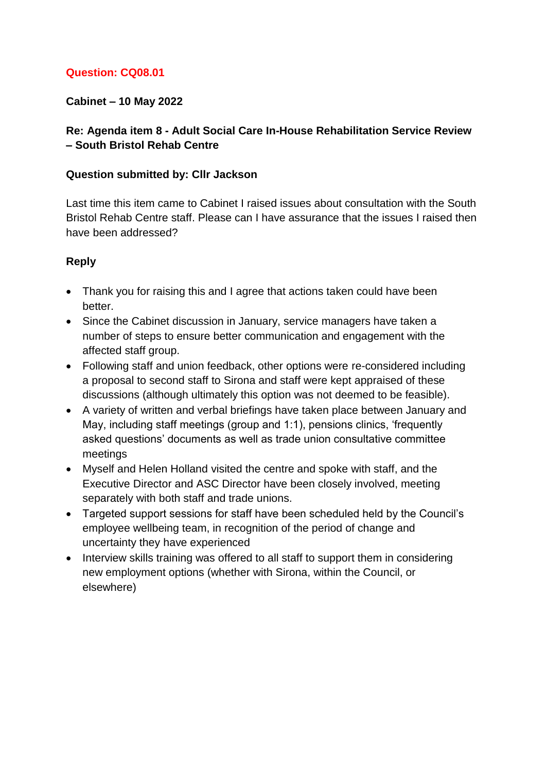## **Question: CQ08.01**

## **Cabinet – 10 May 2022**

## **Re: Agenda item 8 - Adult Social Care In-House Rehabilitation Service Review – South Bristol Rehab Centre**

#### **Question submitted by: Cllr Jackson**

Last time this item came to Cabinet I raised issues about consultation with the South Bristol Rehab Centre staff. Please can I have assurance that the issues I raised then have been addressed?

- Thank you for raising this and I agree that actions taken could have been better.
- Since the Cabinet discussion in January, service managers have taken a number of steps to ensure better communication and engagement with the affected staff group.
- Following staff and union feedback, other options were re-considered including a proposal to second staff to Sirona and staff were kept appraised of these discussions (although ultimately this option was not deemed to be feasible).
- A variety of written and verbal briefings have taken place between January and May, including staff meetings (group and 1:1), pensions clinics, 'frequently asked questions' documents as well as trade union consultative committee meetings
- Myself and Helen Holland visited the centre and spoke with staff, and the Executive Director and ASC Director have been closely involved, meeting separately with both staff and trade unions.
- Targeted support sessions for staff have been scheduled held by the Council's employee wellbeing team, in recognition of the period of change and uncertainty they have experienced
- Interview skills training was offered to all staff to support them in considering new employment options (whether with Sirona, within the Council, or elsewhere)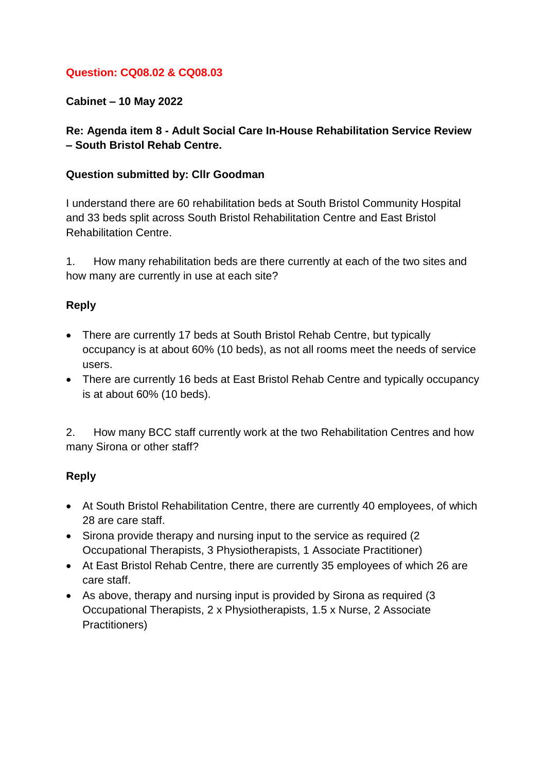## **Question: CQ08.02 & CQ08.03**

**Cabinet – 10 May 2022**

**Re: Agenda item 8 - Adult Social Care In-House Rehabilitation Service Review – South Bristol Rehab Centre.**

#### **Question submitted by: Cllr Goodman**

I understand there are 60 rehabilitation beds at South Bristol Community Hospital and 33 beds split across South Bristol Rehabilitation Centre and East Bristol Rehabilitation Centre.

1. How many rehabilitation beds are there currently at each of the two sites and how many are currently in use at each site?

### **Reply**

- There are currently 17 beds at South Bristol Rehab Centre, but typically occupancy is at about 60% (10 beds), as not all rooms meet the needs of service users.
- There are currently 16 beds at East Bristol Rehab Centre and typically occupancy is at about 60% (10 beds).

2. How many BCC staff currently work at the two Rehabilitation Centres and how many Sirona or other staff?

- At South Bristol Rehabilitation Centre, there are currently 40 employees, of which 28 are care staff.
- Sirona provide therapy and nursing input to the service as required (2) Occupational Therapists, 3 Physiotherapists, 1 Associate Practitioner)
- At East Bristol Rehab Centre, there are currently 35 employees of which 26 are care staff.
- As above, therapy and nursing input is provided by Sirona as required (3) Occupational Therapists, 2 x Physiotherapists, 1.5 x Nurse, 2 Associate Practitioners)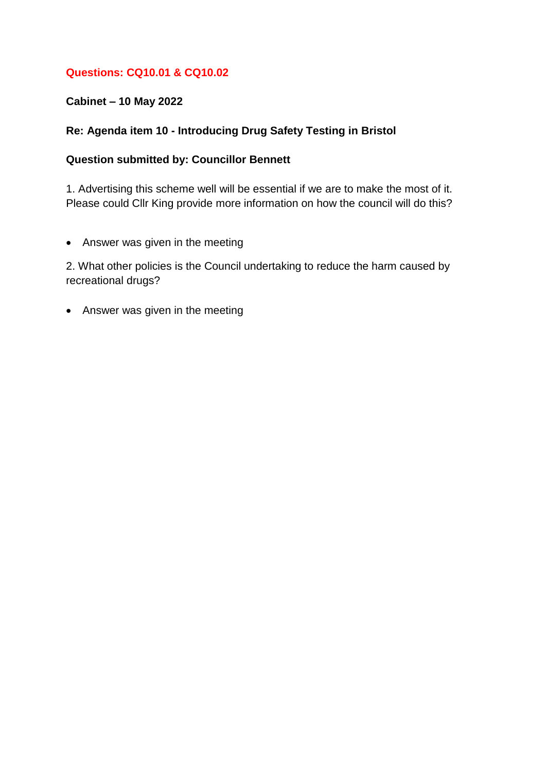## **Questions: CQ10.01 & CQ10.02**

### **Cabinet – 10 May 2022**

## **Re: Agenda item 10 - Introducing Drug Safety Testing in Bristol**

### **Question submitted by: Councillor Bennett**

1. Advertising this scheme well will be essential if we are to make the most of it. Please could Cllr King provide more information on how the council will do this?

• Answer was given in the meeting

2. What other policies is the Council undertaking to reduce the harm caused by recreational drugs?

• Answer was given in the meeting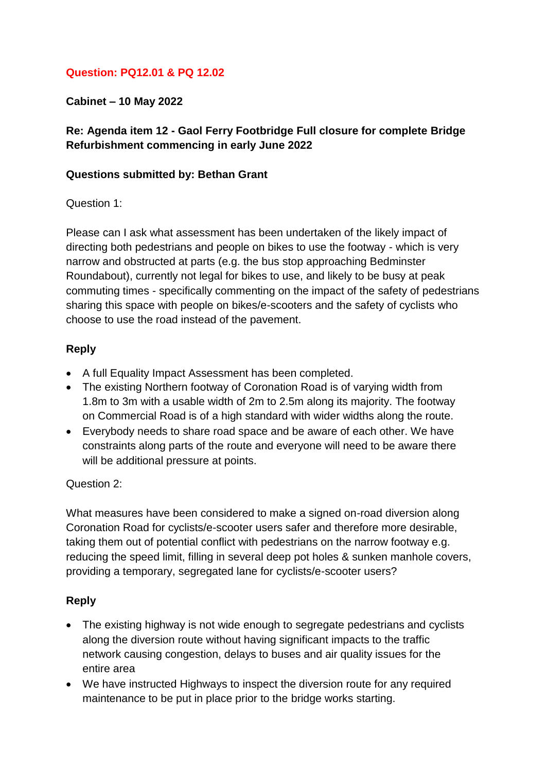## **Question: PQ12.01 & PQ 12.02**

**Cabinet – 10 May 2022**

## **Re: Agenda item 12 - Gaol Ferry Footbridge Full closure for complete Bridge Refurbishment commencing in early June 2022**

#### **Questions submitted by: Bethan Grant**

#### Question 1:

Please can I ask what assessment has been undertaken of the likely impact of directing both pedestrians and people on bikes to use the footway - which is very narrow and obstructed at parts (e.g. the bus stop approaching Bedminster Roundabout), currently not legal for bikes to use, and likely to be busy at peak commuting times - specifically commenting on the impact of the safety of pedestrians sharing this space with people on bikes/e-scooters and the safety of cyclists who choose to use the road instead of the pavement.

### **Reply**

- A full Equality Impact Assessment has been completed.
- The existing Northern footway of Coronation Road is of varying width from 1.8m to 3m with a usable width of 2m to 2.5m along its majority. The footway on Commercial Road is of a high standard with wider widths along the route.
- Everybody needs to share road space and be aware of each other. We have constraints along parts of the route and everyone will need to be aware there will be additional pressure at points.

### Question 2:

What measures have been considered to make a signed on-road diversion along Coronation Road for cyclists/e-scooter users safer and therefore more desirable, taking them out of potential conflict with pedestrians on the narrow footway e.g. reducing the speed limit, filling in several deep pot holes & sunken manhole covers, providing a temporary, segregated lane for cyclists/e-scooter users?

- The existing highway is not wide enough to segregate pedestrians and cyclists along the diversion route without having significant impacts to the traffic network causing congestion, delays to buses and air quality issues for the entire area
- We have instructed Highways to inspect the diversion route for any required maintenance to be put in place prior to the bridge works starting.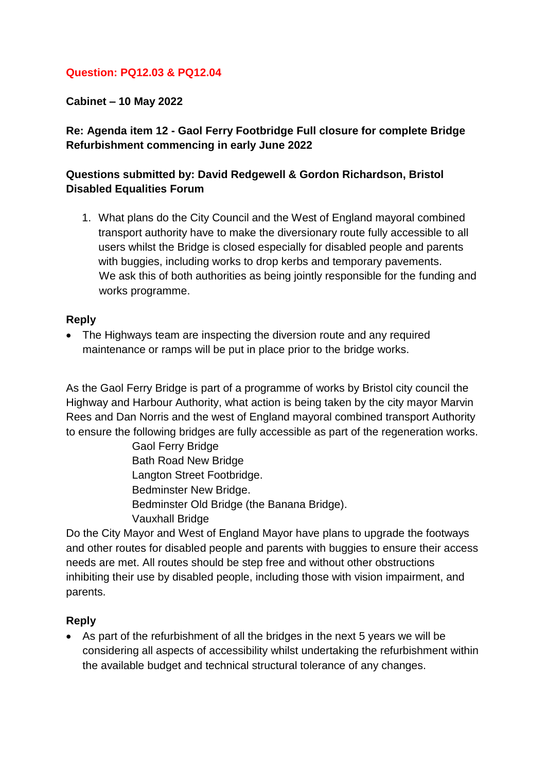## **Question: PQ12.03 & PQ12.04**

**Cabinet – 10 May 2022**

## **Re: Agenda item 12 - Gaol Ferry Footbridge Full closure for complete Bridge Refurbishment commencing in early June 2022**

## **Questions submitted by: David Redgewell & Gordon Richardson, Bristol Disabled Equalities Forum**

1. What plans do the City Council and the West of England mayoral combined transport authority have to make the diversionary route fully accessible to all users whilst the Bridge is closed especially for disabled people and parents with buggies, including works to drop kerbs and temporary pavements. We ask this of both authorities as being jointly responsible for the funding and works programme.

#### **Reply**

• The Highways team are inspecting the diversion route and any required maintenance or ramps will be put in place prior to the bridge works.

As the Gaol Ferry Bridge is part of a programme of works by Bristol city council the Highway and Harbour Authority, what action is being taken by the city mayor Marvin Rees and Dan Norris and the west of England mayoral combined transport Authority to ensure the following bridges are fully accessible as part of the regeneration works.

> Gaol Ferry Bridge Bath Road New Bridge Langton Street Footbridge. Bedminster New Bridge. Bedminster Old Bridge (the Banana Bridge). Vauxhall Bridge

Do the City Mayor and West of England Mayor have plans to upgrade the footways and other routes for disabled people and parents with buggies to ensure their access needs are met. All routes should be step free and without other obstructions inhibiting their use by disabled people, including those with vision impairment, and parents.

### **Reply**

 As part of the refurbishment of all the bridges in the next 5 years we will be considering all aspects of accessibility whilst undertaking the refurbishment within the available budget and technical structural tolerance of any changes.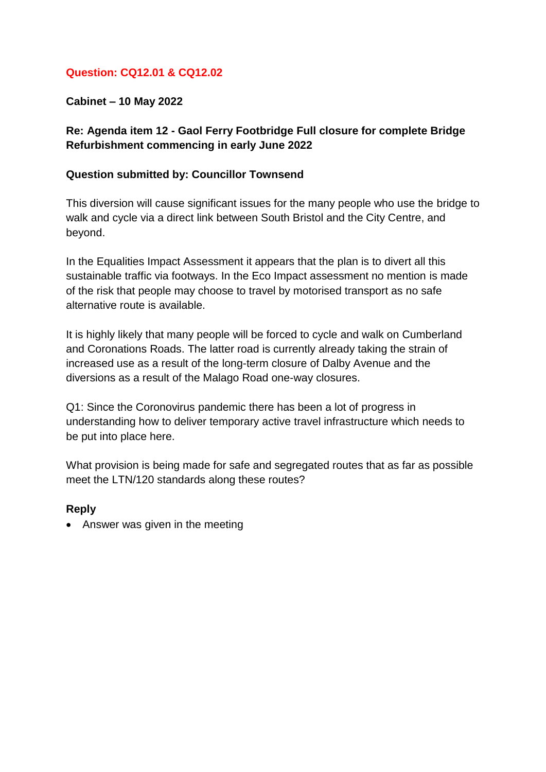## **Question: CQ12.01 & CQ12.02**

**Cabinet – 10 May 2022**

## **Re: Agenda item 12 - Gaol Ferry Footbridge Full closure for complete Bridge Refurbishment commencing in early June 2022**

#### **Question submitted by: Councillor Townsend**

This diversion will cause significant issues for the many people who use the bridge to walk and cycle via a direct link between South Bristol and the City Centre, and beyond.

In the Equalities Impact Assessment it appears that the plan is to divert all this sustainable traffic via footways. In the Eco Impact assessment no mention is made of the risk that people may choose to travel by motorised transport as no safe alternative route is available.

It is highly likely that many people will be forced to cycle and walk on Cumberland and Coronations Roads. The latter road is currently already taking the strain of increased use as a result of the long-term closure of Dalby Avenue and the diversions as a result of the Malago Road one-way closures.

Q1: Since the Coronovirus pandemic there has been a lot of progress in understanding how to deliver temporary active travel infrastructure which needs to be put into place here.

What provision is being made for safe and segregated routes that as far as possible meet the LTN/120 standards along these routes?

### **Reply**

• Answer was given in the meeting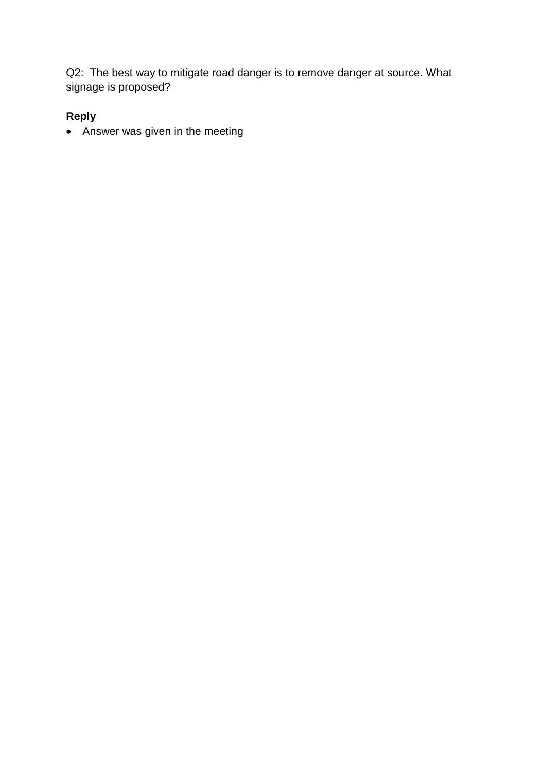Q2: The best way to mitigate road danger is to remove danger at source. What signage is proposed?

# **Reply**

Answer was given in the meeting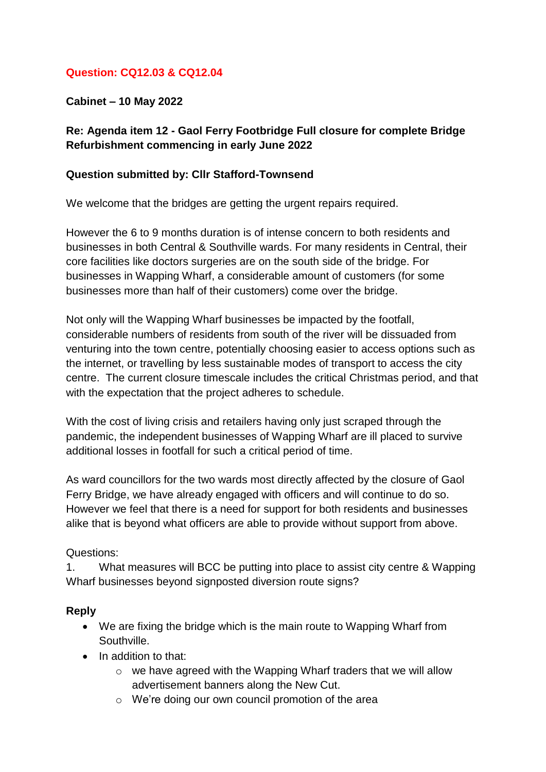## **Question: CQ12.03 & CQ12.04**

**Cabinet – 10 May 2022**

## **Re: Agenda item 12 - Gaol Ferry Footbridge Full closure for complete Bridge Refurbishment commencing in early June 2022**

### **Question submitted by: Cllr Stafford-Townsend**

We welcome that the bridges are getting the urgent repairs required.

However the 6 to 9 months duration is of intense concern to both residents and businesses in both Central & Southville wards. For many residents in Central, their core facilities like doctors surgeries are on the south side of the bridge. For businesses in Wapping Wharf, a considerable amount of customers (for some businesses more than half of their customers) come over the bridge.

Not only will the Wapping Wharf businesses be impacted by the footfall, considerable numbers of residents from south of the river will be dissuaded from venturing into the town centre, potentially choosing easier to access options such as the internet, or travelling by less sustainable modes of transport to access the city centre. The current closure timescale includes the critical Christmas period, and that with the expectation that the project adheres to schedule.

With the cost of living crisis and retailers having only just scraped through the pandemic, the independent businesses of Wapping Wharf are ill placed to survive additional losses in footfall for such a critical period of time.

As ward councillors for the two wards most directly affected by the closure of Gaol Ferry Bridge, we have already engaged with officers and will continue to do so. However we feel that there is a need for support for both residents and businesses alike that is beyond what officers are able to provide without support from above.

### Questions:

1. What measures will BCC be putting into place to assist city centre & Wapping Wharf businesses beyond signposted diversion route signs?

- We are fixing the bridge which is the main route to Wapping Wharf from Southville.
- In addition to that:
	- $\circ$  we have agreed with the Wapping Wharf traders that we will allow advertisement banners along the New Cut.
	- o We're doing our own council promotion of the area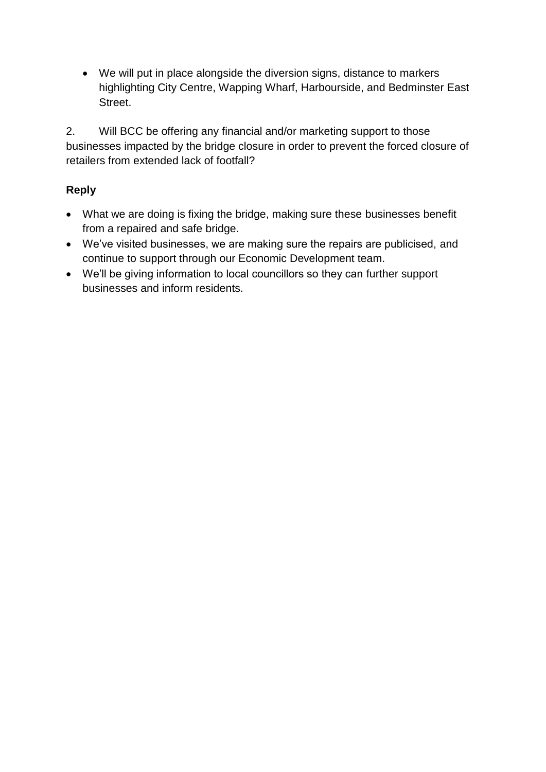We will put in place alongside the diversion signs, distance to markers highlighting City Centre, Wapping Wharf, Harbourside, and Bedminster East Street.

2. Will BCC be offering any financial and/or marketing support to those businesses impacted by the bridge closure in order to prevent the forced closure of retailers from extended lack of footfall?

- What we are doing is fixing the bridge, making sure these businesses benefit from a repaired and safe bridge.
- We've visited businesses, we are making sure the repairs are publicised, and continue to support through our Economic Development team.
- We'll be giving information to local councillors so they can further support businesses and inform residents.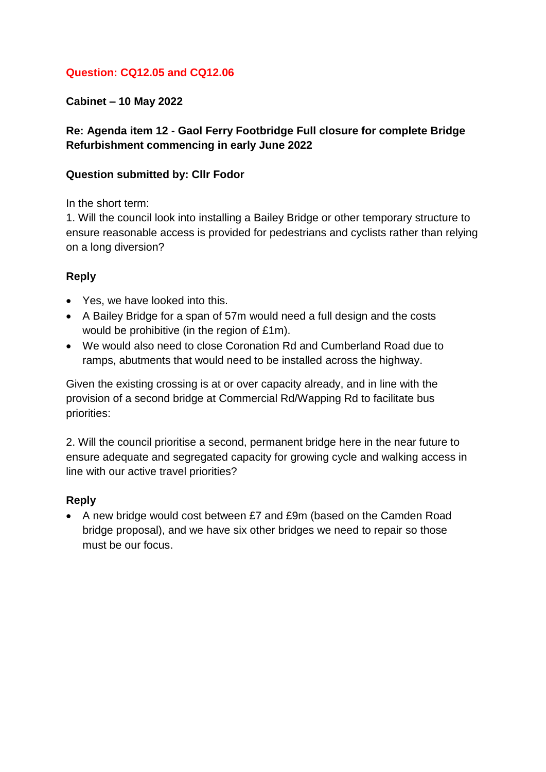## **Question: CQ12.05 and CQ12.06**

## **Cabinet – 10 May 2022**

## **Re: Agenda item 12 - Gaol Ferry Footbridge Full closure for complete Bridge Refurbishment commencing in early June 2022**

#### **Question submitted by: Cllr Fodor**

In the short term:

1. Will the council look into installing a Bailey Bridge or other temporary structure to ensure reasonable access is provided for pedestrians and cyclists rather than relying on a long diversion?

### **Reply**

- Yes, we have looked into this.
- A Bailey Bridge for a span of 57m would need a full design and the costs would be prohibitive (in the region of £1m).
- We would also need to close Coronation Rd and Cumberland Road due to ramps, abutments that would need to be installed across the highway.

Given the existing crossing is at or over capacity already, and in line with the provision of a second bridge at Commercial Rd/Wapping Rd to facilitate bus priorities:

2. Will the council prioritise a second, permanent bridge here in the near future to ensure adequate and segregated capacity for growing cycle and walking access in line with our active travel priorities?

### **Reply**

 A new bridge would cost between £7 and £9m (based on the Camden Road bridge proposal), and we have six other bridges we need to repair so those must be our focus.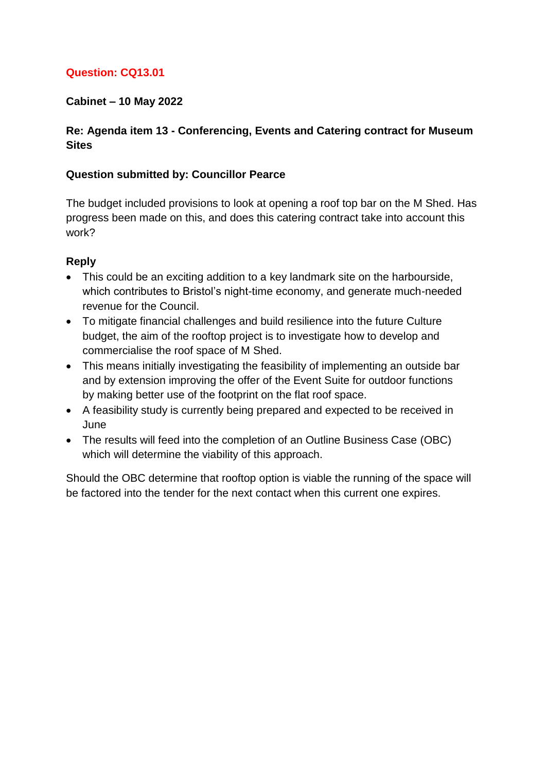## **Question: CQ13.01**

## **Cabinet – 10 May 2022**

## **Re: Agenda item 13 - Conferencing, Events and Catering contract for Museum Sites**

### **Question submitted by: Councillor Pearce**

The budget included provisions to look at opening a roof top bar on the M Shed. Has progress been made on this, and does this catering contract take into account this work?

## **Reply**

- This could be an exciting addition to a key landmark site on the harbourside, which contributes to Bristol's night-time economy, and generate much-needed revenue for the Council.
- To mitigate financial challenges and build resilience into the future Culture budget, the aim of the rooftop project is to investigate how to develop and commercialise the roof space of M Shed.
- This means initially investigating the feasibility of implementing an outside bar and by extension improving the offer of the Event Suite for outdoor functions by making better use of the footprint on the flat roof space.
- A feasibility study is currently being prepared and expected to be received in June
- The results will feed into the completion of an Outline Business Case (OBC) which will determine the viability of this approach.

Should the OBC determine that rooftop option is viable the running of the space will be factored into the tender for the next contact when this current one expires.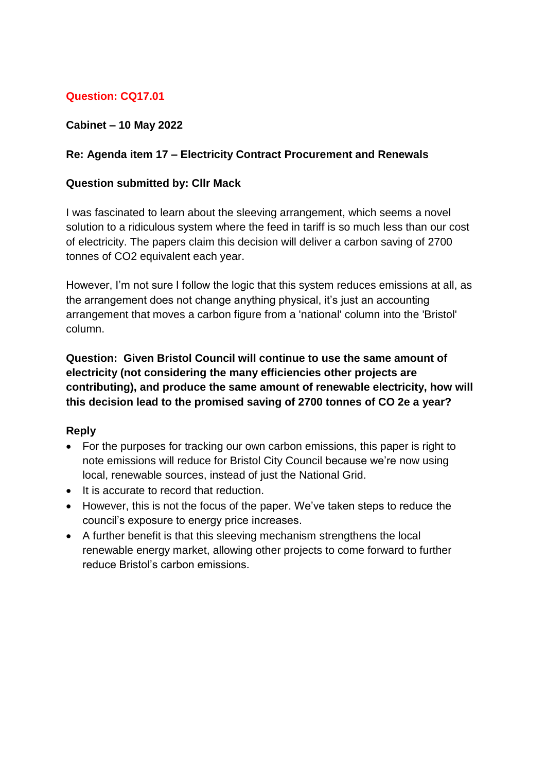# **Question: CQ17.01**

## **Cabinet – 10 May 2022**

## **Re: Agenda item 17 – Electricity Contract Procurement and Renewals**

#### **Question submitted by: Cllr Mack**

I was fascinated to learn about the sleeving arrangement, which seems a novel solution to a ridiculous system where the feed in tariff is so much less than our cost of electricity. The papers claim this decision will deliver a carbon saving of 2700 tonnes of CO2 equivalent each year.

However, I'm not sure I follow the logic that this system reduces emissions at all, as the arrangement does not change anything physical, it's just an accounting arrangement that moves a carbon figure from a 'national' column into the 'Bristol' column.

**Question: Given Bristol Council will continue to use the same amount of electricity (not considering the many efficiencies other projects are contributing), and produce the same amount of renewable electricity, how will this decision lead to the promised saving of 2700 tonnes of CO 2e a year?**

- For the purposes for tracking our own carbon emissions, this paper is right to note emissions will reduce for Bristol City Council because we're now using local, renewable sources, instead of just the National Grid.
- It is accurate to record that reduction.
- However, this is not the focus of the paper. We've taken steps to reduce the council's exposure to energy price increases.
- A further benefit is that this sleeving mechanism strengthens the local renewable energy market, allowing other projects to come forward to further reduce Bristol's carbon emissions.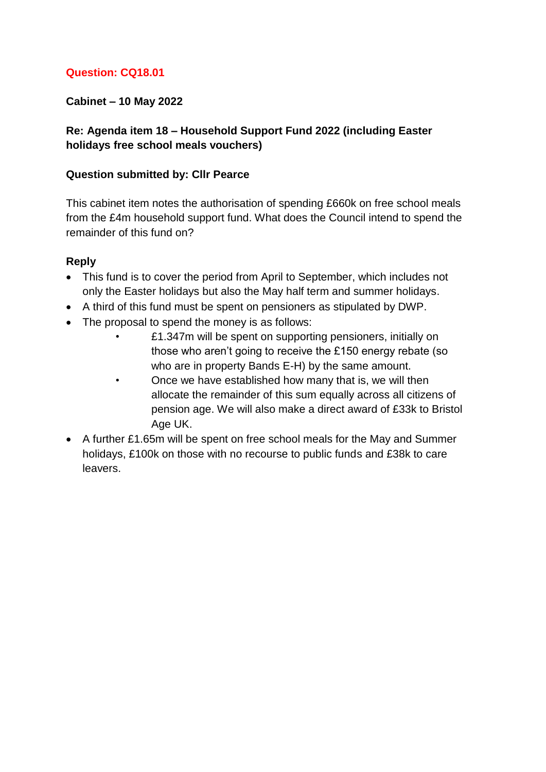## **Question: CQ18.01**

## **Cabinet – 10 May 2022**

## **Re: Agenda item 18 – Household Support Fund 2022 (including Easter holidays free school meals vouchers)**

#### **Question submitted by: Cllr Pearce**

This cabinet item notes the authorisation of spending £660k on free school meals from the £4m household support fund. What does the Council intend to spend the remainder of this fund on?

- This fund is to cover the period from April to September, which includes not only the Easter holidays but also the May half term and summer holidays.
- A third of this fund must be spent on pensioners as stipulated by DWP.
- The proposal to spend the money is as follows:
	- £1.347m will be spent on supporting pensioners, initially on those who aren't going to receive the £150 energy rebate (so who are in property Bands E-H) by the same amount.
	- Once we have established how many that is, we will then allocate the remainder of this sum equally across all citizens of pension age. We will also make a direct award of £33k to Bristol Age UK.
- A further £1.65m will be spent on free school meals for the May and Summer holidays, £100k on those with no recourse to public funds and £38k to care leavers.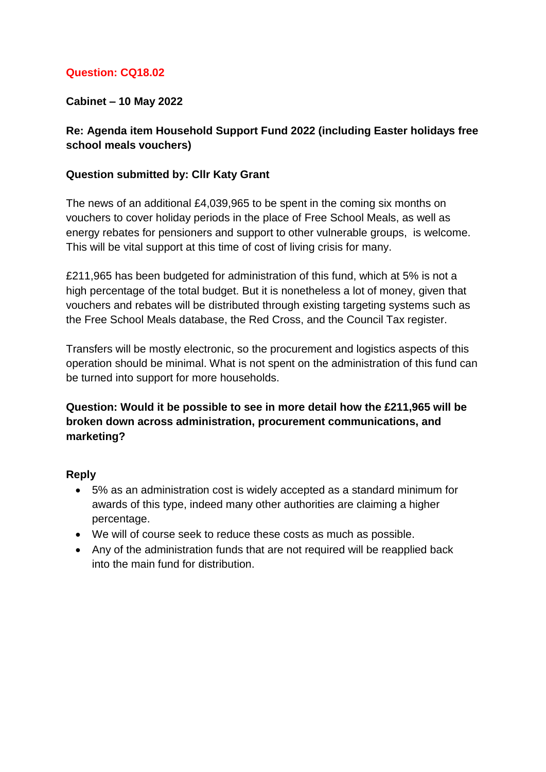## **Question: CQ18.02**

## **Cabinet – 10 May 2022**

## **Re: Agenda item Household Support Fund 2022 (including Easter holidays free school meals vouchers)**

#### **Question submitted by: Cllr Katy Grant**

The news of an additional £4,039,965 to be spent in the coming six months on vouchers to cover holiday periods in the place of Free School Meals, as well as energy rebates for pensioners and support to other vulnerable groups, is welcome. This will be vital support at this time of cost of living crisis for many.

£211,965 has been budgeted for administration of this fund, which at 5% is not a high percentage of the total budget. But it is nonetheless a lot of money, given that vouchers and rebates will be distributed through existing targeting systems such as the Free School Meals database, the Red Cross, and the Council Tax register.

Transfers will be mostly electronic, so the procurement and logistics aspects of this operation should be minimal. What is not spent on the administration of this fund can be turned into support for more households.

## **Question: Would it be possible to see in more detail how the £211,965 will be broken down across administration, procurement communications, and marketing?**

- 5% as an administration cost is widely accepted as a standard minimum for awards of this type, indeed many other authorities are claiming a higher percentage.
- We will of course seek to reduce these costs as much as possible.
- Any of the administration funds that are not required will be reapplied back into the main fund for distribution.